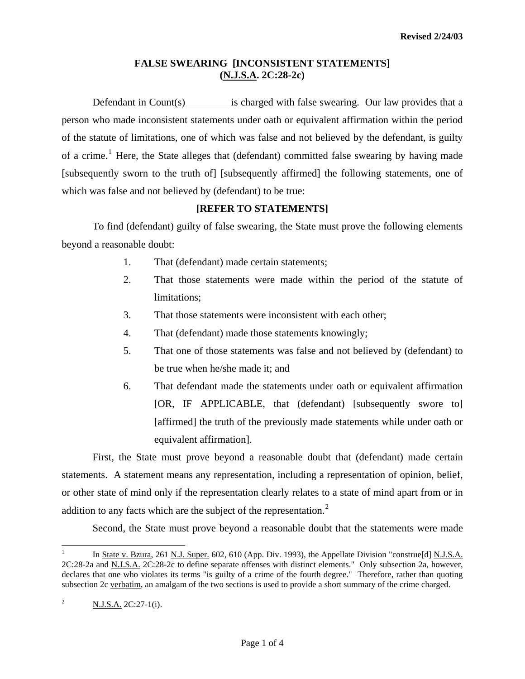## **FALSE SWEARING [INCONSISTENT STATEMENTS] (N.J.S.A. 2C:28-2c)**

Defendant in Count $(s)$  is charged with false swearing. Our law provides that a person who made inconsistent statements under oath or equivalent affirmation within the period of the statute of limitations, one of which was false and not believed by the defendant, is guilty of a crime.<sup>[1](#page-0-0)</sup> Here, the State alleges that (defendant) committed false swearing by having made [subsequently sworn to the truth of] [subsequently affirmed] the following statements, one of which was false and not believed by (defendant) to be true:

## **[REFER TO STATEMENTS]**

 To find (defendant) guilty of false swearing, the State must prove the following elements beyond a reasonable doubt:

- 1. That (defendant) made certain statements;
- 2. That those statements were made within the period of the statute of limitations;
- 3. That those statements were inconsistent with each other;
- 4. That (defendant) made those statements knowingly;
- 5. That one of those statements was false and not believed by (defendant) to be true when he/she made it; and
- 6. That defendant made the statements under oath or equivalent affirmation [OR, IF APPLICABLE, that (defendant) [subsequently swore to] [affirmed] the truth of the previously made statements while under oath or equivalent affirmation].

 First, the State must prove beyond a reasonable doubt that (defendant) made certain statements. A statement means any representation, including a representation of opinion, belief, or other state of mind only if the representation clearly relates to a state of mind apart from or in addition to any facts which are the subject of the representation.<sup>[2](#page-0-1)</sup>

Second, the State must prove beyond a reasonable doubt that the statements were made

<span id="page-0-2"></span><span id="page-0-0"></span> $\overline{a}$ 1 In State v. Bzura, 261 N.J. Super. 602, 610 (App. Div. 1993), the Appellate Division "construe[d] N.J.S.A. 2C:28-2a and N.J.S.A. 2C:28-2c to define separate offenses with distinct elements." Only subsection 2a, however, declares that one who violates its terms "is guilty of a crime of the fourth degree." Therefore, rather than quoting subsection 2c verbatim, an amalgam of the two sections is used to provide a short summary of the crime charged.

<span id="page-0-1"></span><sup>2</sup> N.J.S.A. 2C:27-1(i).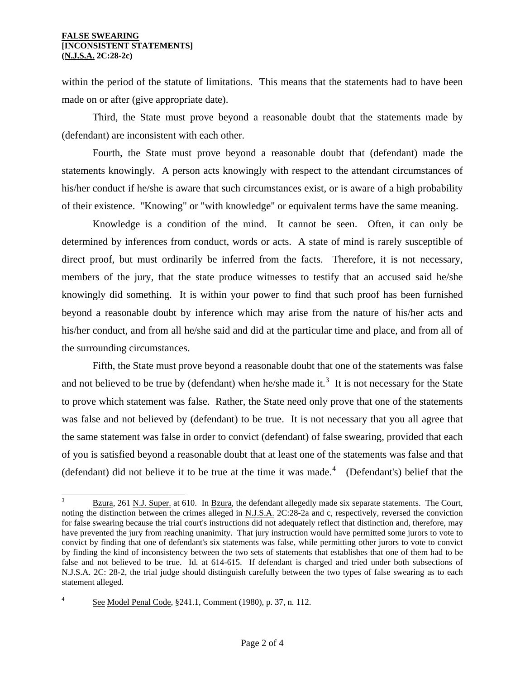#### **FALSE SWEARING [INCONSISTENT STATEMENTS] (N.J.S.A. 2C:28-2c)**

within the period of the statute of limitations. This means that the statements had to have been made on or after (give appropriate date).

 Third, the State must prove beyond a reasonable doubt that the statements made by (defendant) are inconsistent with each other.

 Fourth, the State must prove beyond a reasonable doubt that (defendant) made the statements knowingly. A person acts knowingly with respect to the attendant circumstances of his/her conduct if he/she is aware that such circumstances exist, or is aware of a high probability of their existence. "Knowing" or "with knowledge" or equivalent terms have the same meaning.

 Knowledge is a condition of the mind. It cannot be seen. Often, it can only be determined by inferences from conduct, words or acts. A state of mind is rarely susceptible of direct proof, but must ordinarily be inferred from the facts. Therefore, it is not necessary, members of the jury, that the state produce witnesses to testify that an accused said he/she knowingly did something. It is within your power to find that such proof has been furnished beyond a reasonable doubt by inference which may arise from the nature of his/her acts and his/her conduct, and from all he/she said and did at the particular time and place, and from all of the surrounding circumstances.

 Fifth, the State must prove beyond a reasonable doubt that one of the statements was false and not believed to be true by (defendant) when he/she made it.<sup>[3](#page-0-2)</sup> It is not necessary for the State to prove which statement was false. Rather, the State need only prove that one of the statements was false and not believed by (defendant) to be true. It is not necessary that you all agree that the same statement was false in order to convict (defendant) of false swearing, provided that each of you is satisfied beyond a reasonable doubt that at least one of the statements was false and that (defendant) did not believe it to be true at the time it was made.<sup>[4](#page-1-0)</sup> (Defendant's) belief that the

<span id="page-1-1"></span> 3 Bzura, 261 N.J. Super. at 610. In Bzura, the defendant allegedly made six separate statements. The Court, noting the distinction between the crimes alleged in N.J.S.A. 2C:28-2a and c, respectively, reversed the conviction for false swearing because the trial court's instructions did not adequately reflect that distinction and, therefore, may have prevented the jury from reaching unanimity. That jury instruction would have permitted some jurors to vote to convict by finding that one of defendant's six statements was false, while permitting other jurors to vote to convict by finding the kind of inconsistency between the two sets of statements that establishes that one of them had to be false and not believed to be true. Id. at 614-615. If defendant is charged and tried under both subsections of N.J.S.A. 2C: 28-2, the trial judge should distinguish carefully between the two types of false swearing as to each statement alleged.

<span id="page-1-0"></span><sup>4</sup> See Model Penal Code, §241.1, Comment (1980), p. 37, n. 112.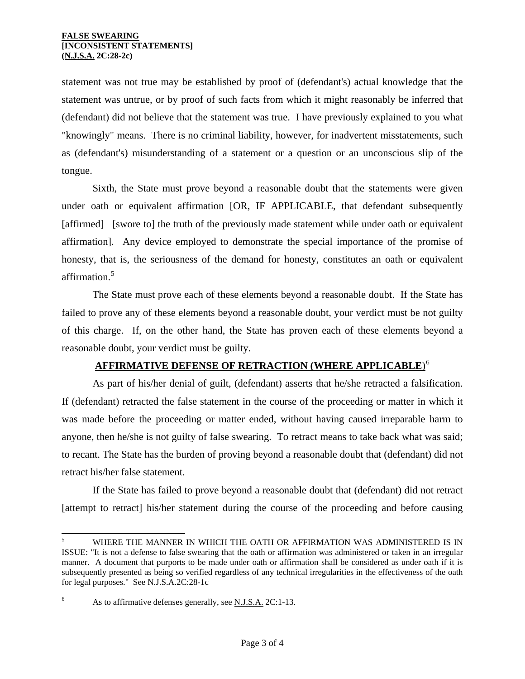statement was not true may be established by proof of (defendant's) actual knowledge that the statement was untrue, or by proof of such facts from which it might reasonably be inferred that (defendant) did not believe that the statement was true. I have previously explained to you what "knowingly" means. There is no criminal liability, however, for inadvertent misstatements, such as (defendant's) misunderstanding of a statement or a question or an unconscious slip of the tongue.

 Sixth, the State must prove beyond a reasonable doubt that the statements were given under oath or equivalent affirmation [OR, IF APPLICABLE, that defendant subsequently [affirmed] [swore to] the truth of the previously made statement while under oath or equivalent affirmation]. Any device employed to demonstrate the special importance of the promise of honesty, that is, the seriousness of the demand for honesty, constitutes an oath or equivalent affirmation.<sup>[5](#page-1-1)</sup>

 The State must prove each of these elements beyond a reasonable doubt. If the State has failed to prove any of these elements beyond a reasonable doubt, your verdict must be not guilty of this charge. If, on the other hand, the State has proven each of these elements beyond a reasonable doubt, your verdict must be guilty.

# **AFFIRMATIVE DEFENSE OF RETRACTION (WHERE APPLICABLE**) [6](#page-2-0)

 As part of his/her denial of guilt, (defendant) asserts that he/she retracted a falsification. If (defendant) retracted the false statement in the course of the proceeding or matter in which it was made before the proceeding or matter ended, without having caused irreparable harm to anyone, then he/she is not guilty of false swearing. To retract means to take back what was said; to recant. The State has the burden of proving beyond a reasonable doubt that (defendant) did not retract his/her false statement.

 If the State has failed to prove beyond a reasonable doubt that (defendant) did not retract [attempt to retract] his/her statement during the course of the proceeding and before causing

 5 WHERE THE MANNER IN WHICH THE OATH OR AFFIRMATION WAS ADMINISTERED IS IN ISSUE: "It is not a defense to false swearing that the oath or affirmation was administered or taken in an irregular manner. A document that purports to be made under oath or affirmation shall be considered as under oath if it is subsequently presented as being so verified regardless of any technical irregularities in the effectiveness of the oath for legal purposes." See N.J.S.A.2C:28-1c

<span id="page-2-0"></span><sup>6</sup> As to affirmative defenses generally, see N.J.S.A. 2C:1-13.